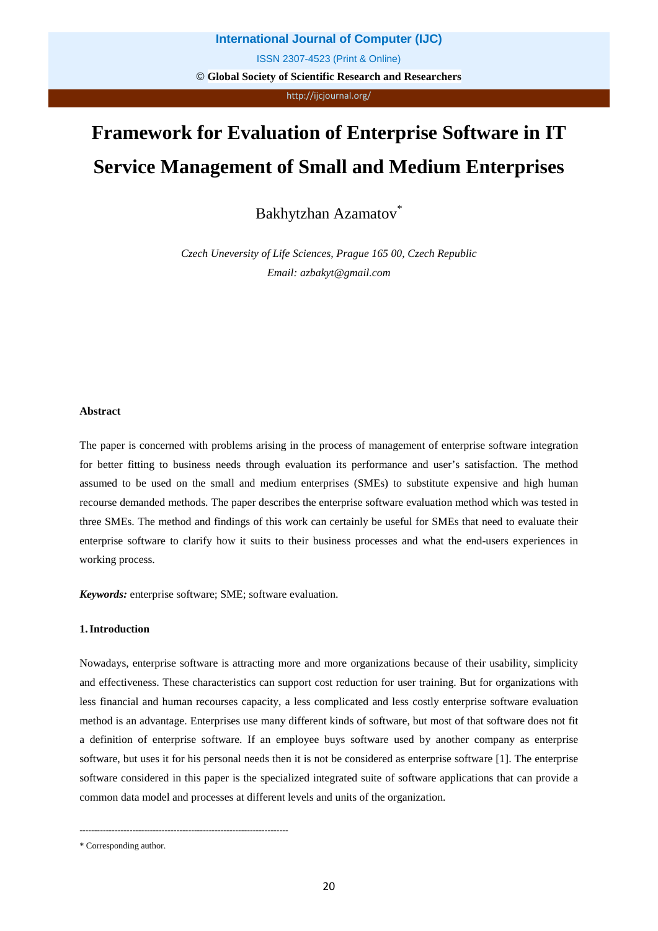# http://ijcjournal.org/

# **Framework for Evaluation of Enterprise Software in IT Service Management of Small and Medium Enterprises**

Bakhytzhan Azamatov<sup>\*</sup>

*Czech Uneversity of Life Sciences, Prague 165 00, Czech Republic Email: azbakyt@gmail.com*

# **Abstract**

The paper is concerned with problems arising in the process of management of enterprise software integration for better fitting to business needs through evaluation its performance and user's satisfaction. The method assumed to be used on the small and medium enterprises (SMEs) to substitute expensive and high human recourse demanded methods. The paper describes the enterprise software evaluation method which was tested in three SMEs. The method and findings of this work can certainly be useful for SMEs that need to evaluate their enterprise software to clarify how it suits to their business processes and what the end-users experiences in working process.

*Keywords:* enterprise software; SME; software evaluation.

# **1.Introduction**

Nowadays, enterprise software is attracting more and more organizations because of their usability, simplicity and effectiveness. These characteristics can support cost reduction for user training. But for organizations with less financial and human recourses capacity, a less complicated and less costly enterprise software evaluation method is an advantage. Enterprises use many different kinds of software, but most of that software does not fit a definition of enterprise software. If an employee buys software used by another company as enterprise software, but uses it for his personal needs then it is not be considered as enterprise software [1]. The enterprise software considered in this paper is the specialized integrated suite of software applications that can provide a common data model and processes at different levels and units of the organization.

-----------------------------------------------------------------------

<sup>\*</sup> Corresponding author.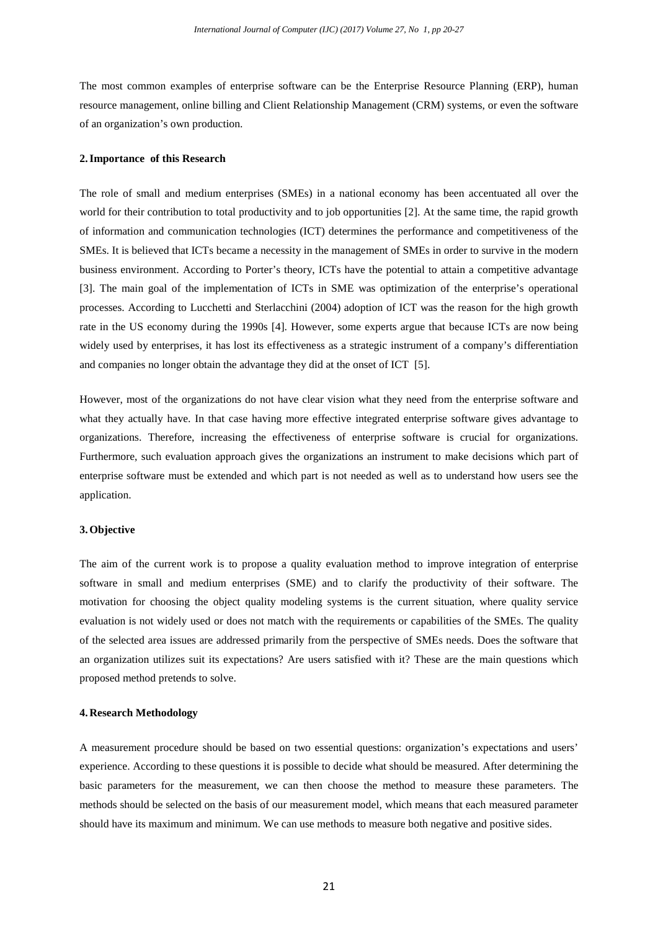The most common examples of enterprise software can be the Enterprise Resource Planning (ERP), human resource management, online billing and Client Relationship Management (CRM) systems, or even the software of an organization's own production.

#### **2.Importance of this Research**

The role of small and medium enterprises (SMEs) in a national economy has been accentuated all over the world for their contribution to total productivity and to job opportunities [2]. At the same time, the rapid growth of information and communication technologies (ICT) determines the performance and competitiveness of the SMEs. It is believed that ICTs became a necessity in the management of SMEs in order to survive in the modern business environment. According to Porter's theory, ICTs have the potential to attain a competitive advantage [3]. The main goal of the implementation of ICTs in SME was optimization of the enterprise's operational processes. According to Lucchetti and Sterlacchini (2004) adoption of ICT was the reason for the high growth rate in the US economy during the 1990s [4]. However, some experts argue that because ICTs are now being widely used by enterprises, it has lost its effectiveness as a strategic instrument of a company's differentiation and companies no longer obtain the advantage they did at the onset of ICT [5].

However, most of the organizations do not have clear vision what they need from the enterprise software and what they actually have. In that case having more effective integrated enterprise software gives advantage to organizations. Therefore, increasing the effectiveness of enterprise software is crucial for organizations. Furthermore, such evaluation approach gives the organizations an instrument to make decisions which part of enterprise software must be extended and which part is not needed as well as to understand how users see the application.

#### **3.Objective**

The aim of the current work is to propose a quality evaluation method to improve integration of enterprise software in small and medium enterprises (SME) and to clarify the productivity of their software. The motivation for choosing the object quality modeling systems is the current situation, where quality service evaluation is not widely used or does not match with the requirements or capabilities of the SMEs. The quality of the selected area issues are addressed primarily from the perspective of SMEs needs. Does the software that an organization utilizes suit its expectations? Are users satisfied with it? These are the main questions which proposed method pretends to solve.

#### **4. Research Methodology**

A measurement procedure should be based on two essential questions: organization's expectations and users' experience. According to these questions it is possible to decide what should be measured. After determining the basic parameters for the measurement, we can then choose the method to measure these parameters. The methods should be selected on the basis of our measurement model, which means that each measured parameter should have its maximum and minimum. We can use methods to measure both negative and positive sides.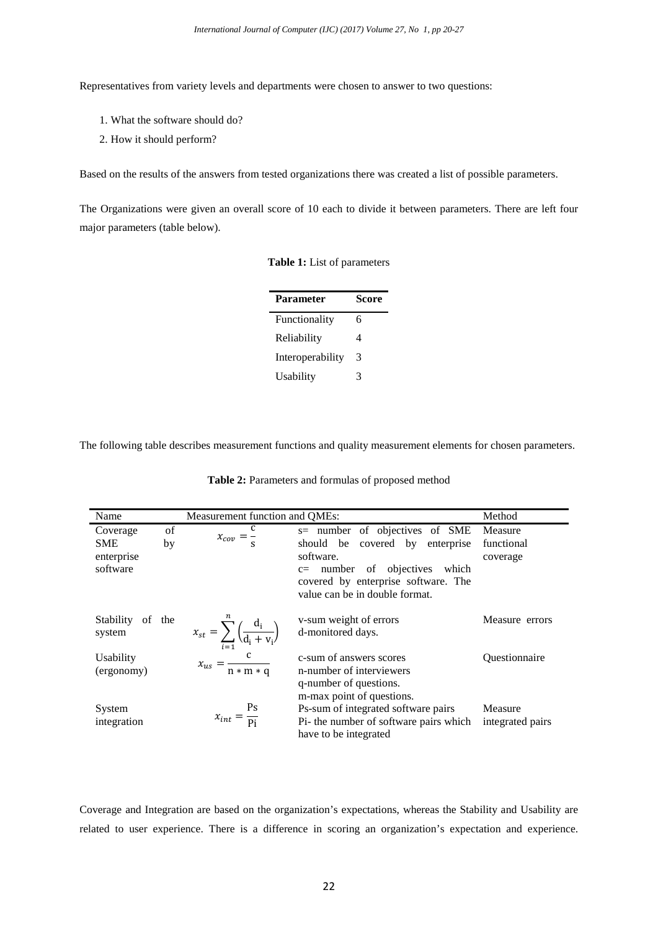Representatives from variety levels and departments were chosen to answer to two questions:

- 1. What the software should do?
- 2. How it should perform?

Based on the results of the answers from tested organizations there was created a list of possible parameters.

The Organizations were given an overall score of 10 each to divide it between parameters. There are left four major parameters (table below).

|  |  | Table 1: List of parameters |
|--|--|-----------------------------|
|  |  |                             |

| <b>Parameter</b> | <b>Score</b> |
|------------------|--------------|
| Functionality    | 6            |
| Reliability      | Δ            |
| Interoperability | 3            |
| Usability        | 3            |

The following table describes measurement functions and quality measurement elements for chosen parameters.

| Name        | Measurement function and QMEs: |                                                                     |                                        |                      |  |  |  |
|-------------|--------------------------------|---------------------------------------------------------------------|----------------------------------------|----------------------|--|--|--|
| Coverage    | of                             | $x_{cov} = \frac{1}{a}$                                             | s= number of objectives of SME         | Measure              |  |  |  |
| <b>SME</b>  | by                             |                                                                     | should be covered by enterprise        | functional           |  |  |  |
| enterprise  |                                |                                                                     | software.                              | coverage             |  |  |  |
| software    |                                |                                                                     | $c=$ number of objectives<br>which     |                      |  |  |  |
|             |                                |                                                                     | covered by enterprise software. The    |                      |  |  |  |
|             |                                |                                                                     | value can be in double format.         |                      |  |  |  |
| Stability   | of the                         |                                                                     | v-sum weight of errors                 | Measure errors       |  |  |  |
| system      |                                | $x_{st} = \sum_{i=1}^{\infty} \left( \frac{d_i}{d_i + v_i} \right)$ | d-monitored days.                      |                      |  |  |  |
|             |                                |                                                                     |                                        |                      |  |  |  |
| Usability   |                                | $x_{us} = \frac{c}{n * m * q}$                                      | c-sum of answers scores                | <b>Ouestionnaire</b> |  |  |  |
| (ergonomy)  |                                |                                                                     | n-number of interviewers               |                      |  |  |  |
|             |                                |                                                                     | q-number of questions.                 |                      |  |  |  |
|             |                                |                                                                     | m-max point of questions.              |                      |  |  |  |
| System      |                                | Ps                                                                  | Ps-sum of integrated software pairs    | Measure              |  |  |  |
| integration |                                | $x_{int} = \frac{13}{\text{pi}}$                                    | Pi- the number of software pairs which | integrated pairs     |  |  |  |
|             |                                |                                                                     | have to be integrated                  |                      |  |  |  |

**Table 2:** Parameters and formulas of proposed method

Coverage and Integration are based on the organization's expectations, whereas the Stability and Usability are related to user experience. There is a difference in scoring an organization's expectation and experience.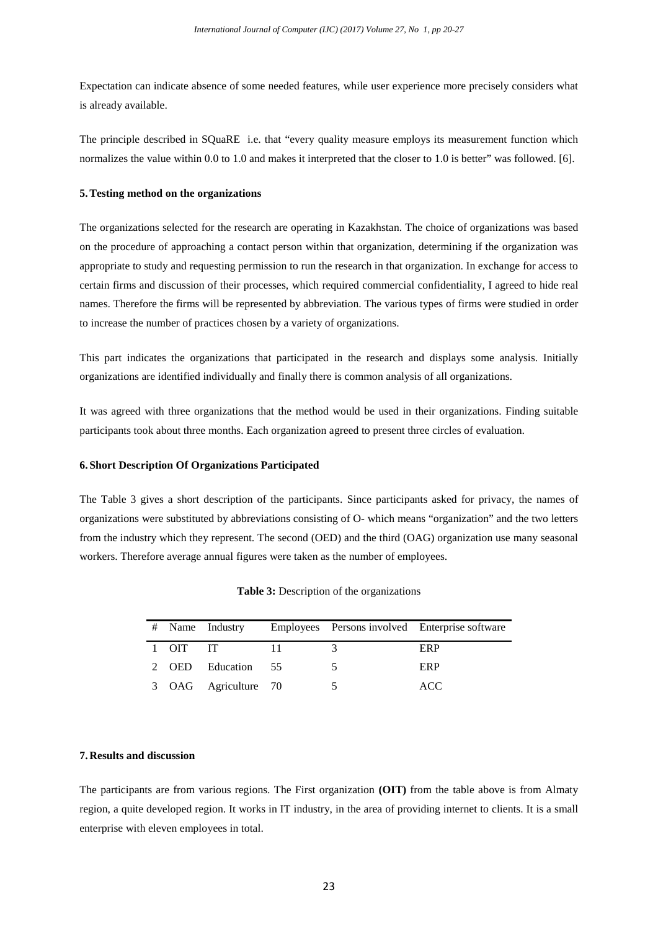Expectation can indicate absence of some needed features, while user experience more precisely considers what is already available.

The principle described in SQuaRE i.e. that "every quality measure employs its measurement function which normalizes the value within 0.0 to 1.0 and makes it interpreted that the closer to 1.0 is better" was followed. [6].

#### **5.Testing method on the organizations**

The organizations selected for the research are operating in Kazakhstan. The choice of organizations was based on the procedure of approaching a contact person within that organization, determining if the organization was appropriate to study and requesting permission to run the research in that organization. In exchange for access to certain firms and discussion of their processes, which required commercial confidentiality, I agreed to hide real names. Therefore the firms will be represented by abbreviation. The various types of firms were studied in order to increase the number of practices chosen by a variety of organizations.

This part indicates the organizations that participated in the research and displays some analysis. Initially organizations are identified individually and finally there is common analysis of all organizations.

It was agreed with three organizations that the method would be used in their organizations. Finding suitable participants took about three months. Each organization agreed to present three circles of evaluation.

# **6. Short Description Of Organizations Participated**

The Table 3 gives a short description of the participants. Since participants asked for privacy, the names of organizations were substituted by abbreviations consisting of O- which means "organization" and the two letters from the industry which they represent. The second (OED) and the third (OAG) organization use many seasonal workers. Therefore average annual figures were taken as the number of employees.

|  |  |  | <b>Table 3:</b> Description of the organizations |
|--|--|--|--------------------------------------------------|
|--|--|--|--------------------------------------------------|

|  |          | # Name Industry      |  | Employees Persons involved Enterprise software |
|--|----------|----------------------|--|------------------------------------------------|
|  | 1 OIT IT |                      |  | ERP                                            |
|  |          | 2 OED Education 55   |  | ERP                                            |
|  |          | 3 OAG Agriculture 70 |  | ACC                                            |

## **7. Results and discussion**

The participants are from various regions. The First organization **(OIT)** from the table above is from Almaty region, a quite developed region. It works in IT industry, in the area of providing internet to clients. It is a small enterprise with eleven employees in total.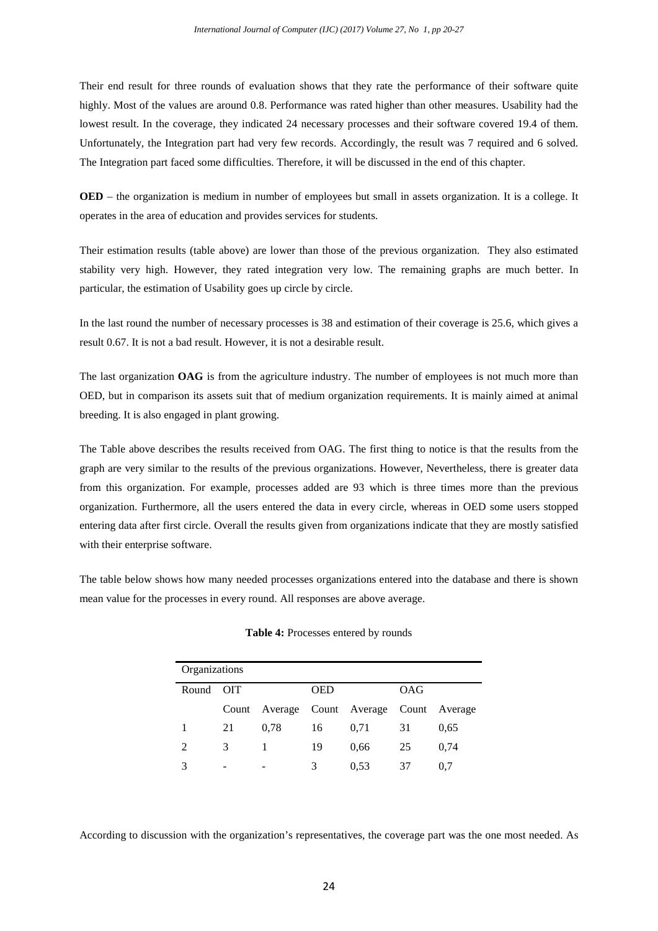Their end result for three rounds of evaluation shows that they rate the performance of their software quite highly. Most of the values are around 0.8. Performance was rated higher than other measures. Usability had the lowest result. In the coverage, they indicated 24 necessary processes and their software covered 19.4 of them. Unfortunately, the Integration part had very few records. Accordingly, the result was 7 required and 6 solved. The Integration part faced some difficulties. Therefore, it will be discussed in the end of this chapter.

**OED** – the organization is medium in number of employees but small in assets organization. It is a college. It operates in the area of education and provides services for students.

Their estimation results (table above) are lower than those of the previous organization. They also estimated stability very high. However, they rated integration very low. The remaining graphs are much better. In particular, the estimation of Usability goes up circle by circle.

In the last round the number of necessary processes is 38 and estimation of their coverage is 25.6, which gives a result 0.67. It is not a bad result. However, it is not a desirable result.

The last organization **OAG** is from the agriculture industry. The number of employees is not much more than OED, but in comparison its assets suit that of medium organization requirements. It is mainly aimed at animal breeding. It is also engaged in plant growing.

The Table above describes the results received from OAG. The first thing to notice is that the results from the graph are very similar to the results of the previous organizations. However, Nevertheless, there is greater data from this organization. For example, processes added are 93 which is three times more than the previous organization. Furthermore, all the users entered the data in every circle, whereas in OED some users stopped entering data after first circle. Overall the results given from organizations indicate that they are mostly satisfied with their enterprise software.

The table below shows how many needed processes organizations entered into the database and there is shown mean value for the processes in every round. All responses are above average.

| Organizations  |            |      |            |                                           |     |      |  |  |
|----------------|------------|------|------------|-------------------------------------------|-----|------|--|--|
| Round          | <b>OIT</b> |      | <b>OED</b> |                                           | OAG |      |  |  |
|                |            |      |            | Count Average Count Average Count Average |     |      |  |  |
| 1              | 21         | 0.78 | 16         | 0,71                                      | 31  | 0.65 |  |  |
| $\mathfrak{D}$ | 3          | 1    | 19         | 0.66                                      | 25  | 0.74 |  |  |
| 3              |            |      | 3          | 0.53                                      | 37  | 0.7  |  |  |

#### **Table 4:** Processes entered by rounds

According to discussion with the organization's representatives, the coverage part was the one most needed. As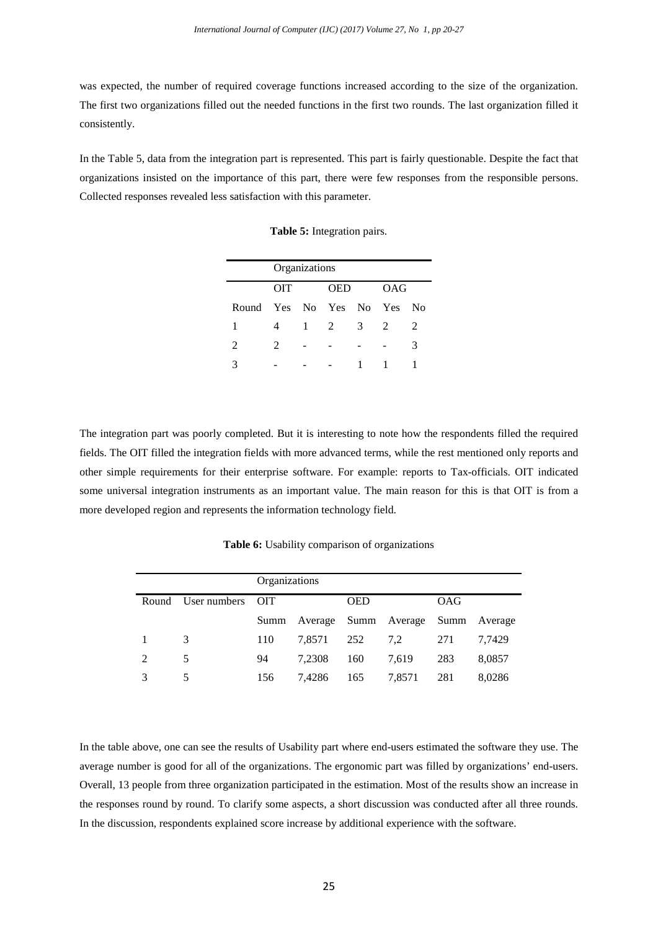was expected, the number of required coverage functions increased according to the size of the organization. The first two organizations filled out the needed functions in the first two rounds. The last organization filled it consistently.

In the Table 5, data from the integration part is represented. This part is fairly questionable. Despite the fact that organizations insisted on the importance of this part, there were few responses from the responsible persons. Collected responses revealed less satisfaction with this parameter.

**Table 5:** Integration pairs.

|                         | Organizations               |              |                |                         |   |    |  |  |
|-------------------------|-----------------------------|--------------|----------------|-------------------------|---|----|--|--|
|                         | <b>OIT</b>                  |              | OAG            |                         |   |    |  |  |
| Round Yes No Yes No Yes |                             |              |                |                         |   | No |  |  |
| 1                       | 4                           | $\mathbf{1}$ | $\overline{2}$ | $\overline{\mathbf{3}}$ | 2 | 2  |  |  |
| 2                       | $\mathcal{D}_{\mathcal{L}}$ |              |                |                         |   | 3  |  |  |
|                         |                             |              |                | 1                       |   |    |  |  |

The integration part was poorly completed. But it is interesting to note how the respondents filled the required fields. The OIT filled the integration fields with more advanced terms, while the rest mentioned only reports and other simple requirements for their enterprise software. For example: reports to Tax-officials. OIT indicated some universal integration instruments as an important value. The main reason for this is that OIT is from a more developed region and represents the information technology field.

**Table 6:** Usability comparison of organizations

|   |                        | Organizations |        |            |                                        |            |        |
|---|------------------------|---------------|--------|------------|----------------------------------------|------------|--------|
|   | Round User numbers OIT |               |        | <b>OED</b> |                                        | <b>OAG</b> |        |
|   |                        |               |        |            | Summ Average Summ Average Summ Average |            |        |
|   | 3                      | 110           | 7,8571 | 252        | 7.2                                    | 271        | 7,7429 |
| 2 | 5                      | 94            | 7.2308 | 160        | 7.619                                  | 283        | 8.0857 |
|   | 5.                     | 156           | 7,4286 | 165        | 7,8571                                 | 281        | 8.0286 |

In the table above, one can see the results of Usability part where end-users estimated the software they use. The average number is good for all of the organizations. The ergonomic part was filled by organizations' end-users. Overall, 13 people from three organization participated in the estimation. Most of the results show an increase in the responses round by round. To clarify some aspects, a short discussion was conducted after all three rounds. In the discussion, respondents explained score increase by additional experience with the software.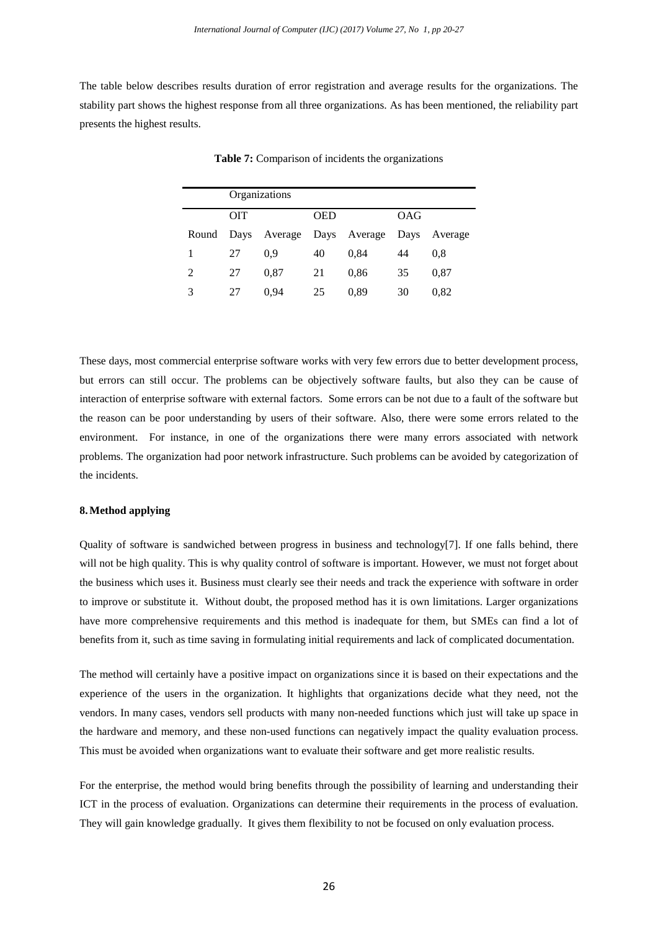The table below describes results duration of error registration and average results for the organizations. The stability part shows the highest response from all three organizations. As has been mentioned, the reliability part presents the highest results.

|   | Organizations |                                 |            |      |            |         |  |  |  |
|---|---------------|---------------------------------|------------|------|------------|---------|--|--|--|
|   | <b>OIT</b>    |                                 | <b>OED</b> |      | <b>OAG</b> |         |  |  |  |
|   |               | Round Days Average Days Average |            |      | Days       | Average |  |  |  |
|   | 27            | 0.9                             | 40         | 0,84 | 44         | 0.8     |  |  |  |
| 2 | 27            | 0.87                            | 21         | 0,86 | 35         | 0.87    |  |  |  |
| 3 | 27            | 0.94                            | 25         | 0.89 | 30         | 0.82    |  |  |  |

**Table 7:** Comparison of incidents the organizations

These days, most commercial enterprise software works with very few errors due to better development process, but errors can still occur. The problems can be objectively software faults, but also they can be cause of interaction of enterprise software with external factors. Some errors can be not due to a fault of the software but the reason can be poor understanding by users of their software. Also, there were some errors related to the environment. For instance, in one of the organizations there were many errors associated with network problems. The organization had poor network infrastructure. Such problems can be avoided by categorization of the incidents.

#### **8.Method applying**

Quality of software is sandwiched between progress in business and technology[7]. If one falls behind, there will not be high quality. This is why quality control of software is important. However, we must not forget about the business which uses it. Business must clearly see their needs and track the experience with software in order to improve or substitute it. Without doubt, the proposed method has it is own limitations. Larger organizations have more comprehensive requirements and this method is inadequate for them, but SMEs can find a lot of benefits from it, such as time saving in formulating initial requirements and lack of complicated documentation.

The method will certainly have a positive impact on organizations since it is based on their expectations and the experience of the users in the organization. It highlights that organizations decide what they need, not the vendors. In many cases, vendors sell products with many non-needed functions which just will take up space in the hardware and memory, and these non-used functions can negatively impact the quality evaluation process. This must be avoided when organizations want to evaluate their software and get more realistic results.

For the enterprise, the method would bring benefits through the possibility of learning and understanding their ICT in the process of evaluation. Organizations can determine their requirements in the process of evaluation. They will gain knowledge gradually. It gives them flexibility to not be focused on only evaluation process.